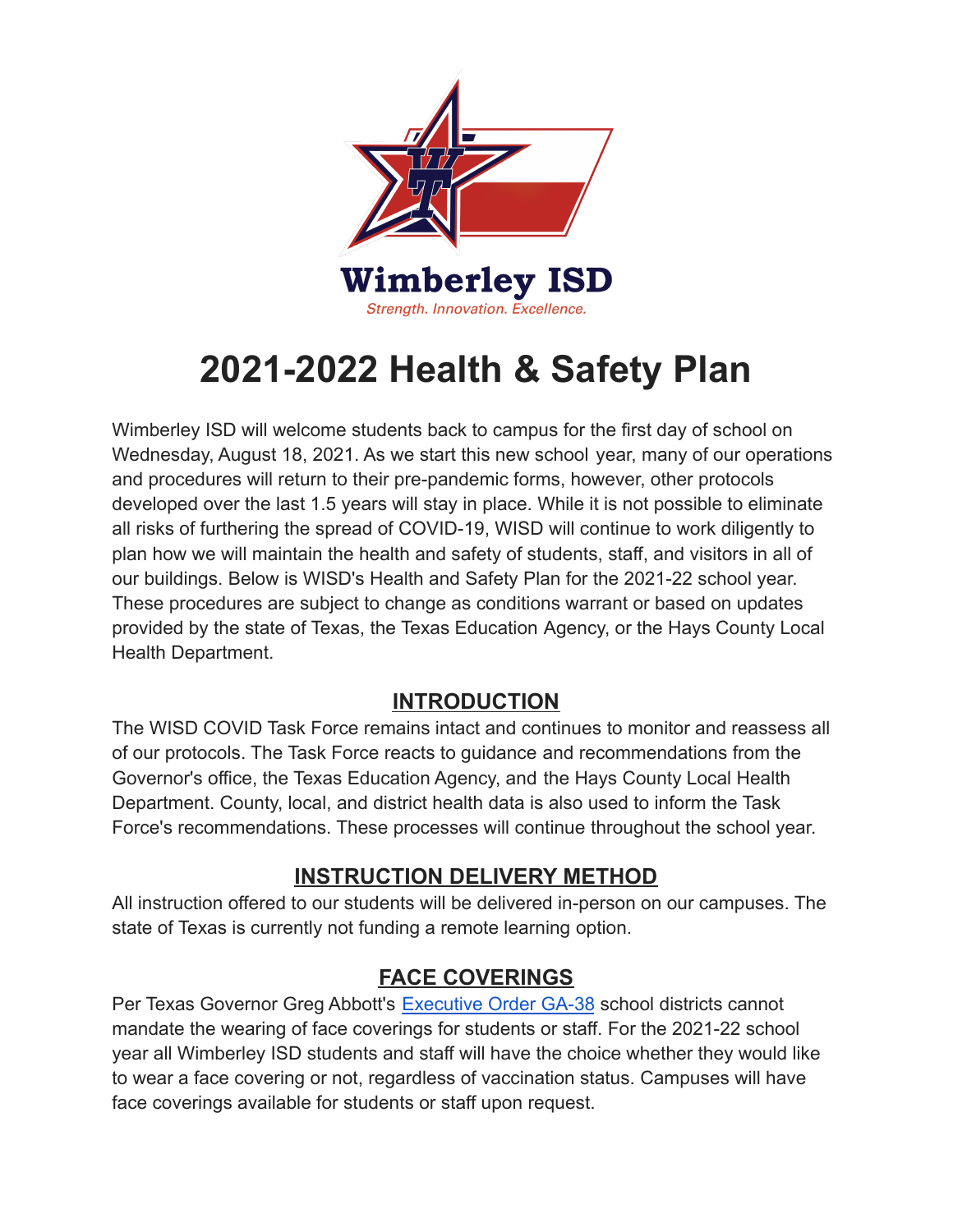

# **2021-2022 Health & Safety Plan**

Wimberley ISD will welcome students back to campus for the first day of school on Wednesday, August 18, 2021. As we start this new school year, many of our operations and procedures will return to their pre-pandemic forms, however, other protocols developed over the last 1.5 years will stay in place. While it is not possible to eliminate all risks of furthering the spread of COVID-19, WISD will continue to work diligently to plan how we will maintain the health and safety of students, staff, and visitors in all of our buildings. Below is WISD's Health and Safety Plan for the 2021-22 school year. These procedures are subject to change as conditions warrant or based on updates provided by the state of Texas, the Texas Education Agency, or the Hays County Local Health Department.

### **INTRODUCTION**

The WISD COVID Task Force remains intact and continues to monitor and reassess all of our protocols. The Task Force reacts to guidance and recommendations from the Governor's office, the Texas Education Agency, and the Hays County Local Health Department. County, local, and district health data is also used to inform the Task Force's recommendations. These processes will continue throughout the school year.

### **INSTRUCTION DELIVERY METHOD**

All instruction offered to our students will be delivered in-person on our campuses. The state of Texas is currently not funding a remote learning option.

#### **FACE COVERINGS**

Per Texas Governor Greg Abbott's [Executive Order GA-38](https://gov.texas.gov/uploads/files/press/EO-GA-38_continued_response_to_the_COVID-19_disaster_IMAGE_07-29-2021.pdf) school districts cannot mandate the wearing of face coverings for students or staff. For the 2021-22 school year all Wimberley ISD students and staff will have the choice whether they would like to wear a face covering or not, regardless of vaccination status. Campuses will have face coverings available for students or staff upon request.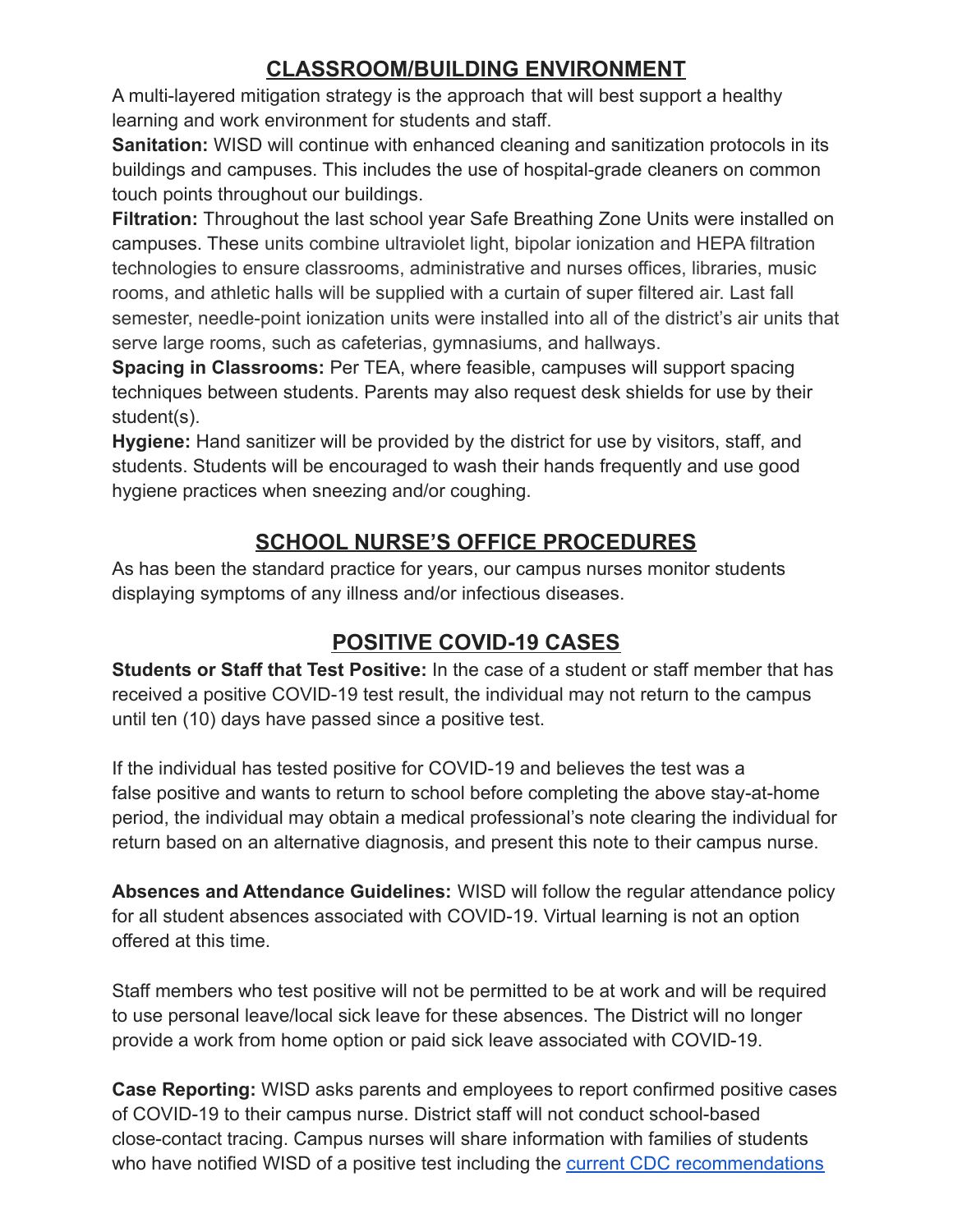# **CLASSROOM/BUILDING ENVIRONMENT**

A multi-layered mitigation strategy is the approach that will best support a healthy learning and work environment for students and staff.

**Sanitation:** WISD will continue with enhanced cleaning and sanitization protocols in its buildings and campuses. This includes the use of hospital-grade cleaners on common touch points throughout our buildings.

**Filtration:** Throughout the last school year Safe Breathing Zone Units were installed on campuses. These units combine ultraviolet light, bipolar ionization and HEPA filtration technologies to ensure classrooms, administrative and nurses offices, libraries, music rooms, and athletic halls will be supplied with a curtain of super filtered air. Last fall semester, needle-point ionization units were installed into all of the district's air units that serve large rooms, such as cafeterias, gymnasiums, and hallways.

**Spacing in Classrooms:** Per TEA, where feasible, campuses will support spacing techniques between students. Parents may also request desk shields for use by their student(s).

**Hygiene:** Hand sanitizer will be provided by the district for use by visitors, staff, and students. Students will be encouraged to wash their hands frequently and use good hygiene practices when sneezing and/or coughing.

## **SCHOOL NURSE'S OFFICE PROCEDURES**

As has been the standard practice for years, our campus nurses monitor students displaying symptoms of any illness and/or infectious diseases.

# **POSITIVE COVID-19 CASES**

**Students or Staff that Test Positive:** In the case of a student or staff member that has received a positive COVID-19 test result, the individual may not return to the campus until ten (10) days have passed since a positive test.

If the individual has tested positive for COVID-19 and believes the test was a false positive and wants to return to school before completing the above stay-at-home period, the individual may obtain a medical professional's note clearing the individual for return based on an alternative diagnosis, and present this note to their campus nurse.

**Absences and Attendance Guidelines:** WISD will follow the regular attendance policy for all student absences associated with COVID-19. Virtual learning is not an option offered at this time.

Staff members who test positive will not be permitted to be at work and will be required to use personal leave/local sick leave for these absences. The District will no longer provide a work from home option or paid sick leave associated with COVID-19.

**Case Reporting:** WISD asks parents and employees to report confirmed positive cases of COVID-19 to their campus nurse. District staff will not conduct school-based close-contact tracing. Campus nurses will share information with families of students who have notified WISD of a positive test including the [current CDC recommendations](https://www.cdc.gov/coronavirus/2019-ncov/if-you-are-sick/quarantine.html)